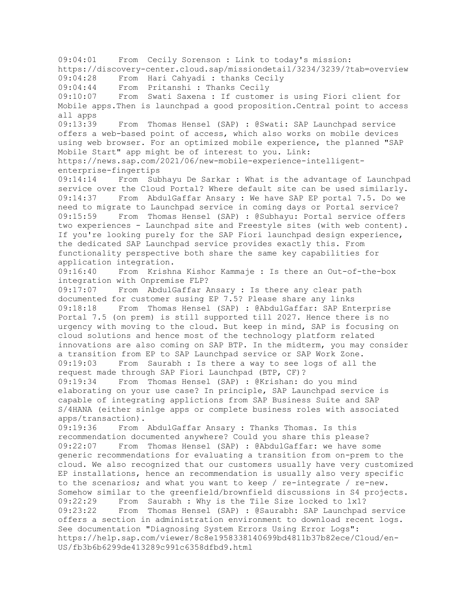09:04:01 From Cecily Sorenson : Link to today's mission: https://discovery-center.cloud.sap/missiondetail/3234/3239/?tab=overview 09:04:28 From Hari Cahyadi : thanks Cecily 09:04:44 From Pritanshi : Thanks Cecily 09:10:07 From Swati Saxena : If customer is using Fiori client for Mobile apps.Then is launchpad a good proposition.Central point to access all apps 09:13:39 From Thomas Hensel (SAP) : @Swati: SAP Launchpad service offers a web-based point of access, which also works on mobile devices using web browser. For an optimized mobile experience, the planned "SAP Mobile Start" app might be of interest to you. Link: https://news.sap.com/2021/06/new-mobile-experience-intelligententerprise-fingertips 09:14:14 From Subhayu De Sarkar : What is the advantage of Launchpad service over the Cloud Portal? Where default site can be used similarly. 09:14:37 From AbdulGaffar Ansary : We have SAP EP portal 7.5. Do we need to migrate to Launchpad service in coming days or Portal service? 09:15:59 From Thomas Hensel (SAP) : @Subhayu: Portal service offers two experiences - Launchpad site and Freestyle sites (with web content). If you're looking purely for the SAP Fiori launchpad design experience, the dedicated SAP Launchpad service provides exactly this. From functionality perspective both share the same key capabilities for application integration. 09:16:40 From Krishna Kishor Kammaje : Is there an Out-of-the-box integration with Onpremise FLP? 09:17:07 From AbdulGaffar Ansary : Is there any clear path documented for customer susing EP 7.5? Please share any links 09:18:18 From Thomas Hensel (SAP) : @AbdulGaffar: SAP Enterprise Portal 7.5 (on prem) is still supported till 2027. Hence there is no urgency with moving to the cloud. But keep in mind, SAP is focusing on cloud solutions and hence most of the technology platform related innovations are also coming on SAP BTP. In the midterm, you may consider a transition from EP to SAP Launchpad service or SAP Work Zone. 09:19:03 From Saurabh : Is there a way to see logs of all the request made through SAP Fiori Launchpad (BTP, CF)? 09:19:34 From Thomas Hensel (SAP) : @Krishan: do you mind elaborating on your use case? In principle, SAP Launchpad service is capable of integrating applictions from SAP Business Suite and SAP S/4HANA (either sinlge apps or complete business roles with associated apps/transaction). 09:19:36 From AbdulGaffar Ansary : Thanks Thomas. Is this recommendation documented anywhere? Could you share this please? 09:22:07 From Thomas Hensel (SAP) : @AbdulGaffar: we have some generic recommendations for evaluating a transition from on-prem to the cloud. We also recognized that our customers usually have very customized EP installations, hence an recommendation is usually also very specific to the scenarios; and what you want to keep / re-integrate / re-new. Somehow similar to the greenfield/brownfield discussions in S4 projects. 09:22:29 From Saurabh : Why is the Tile Size locked to 1x1? 09:23:22 From Thomas Hensel (SAP) : @Saurabh: SAP Launchpad service offers a section in administration environment to download recent logs. See documentation "Diagnosing System Errors Using Error Logs": https://help.sap.com/viewer/8c8e1958338140699bd4811b37b82ece/Cloud/en-US/fb3b6b6299de413289c991c6358dfbd9.html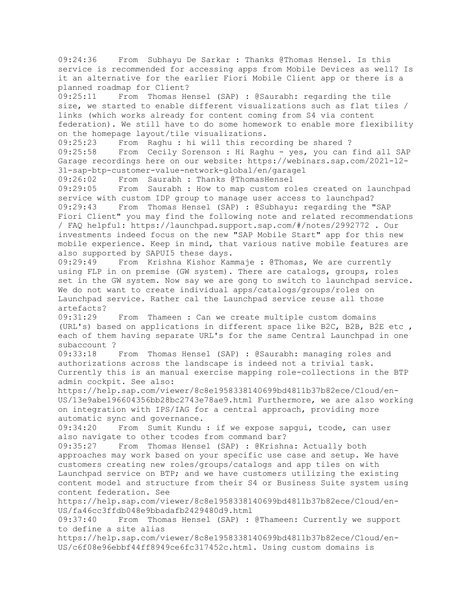09:24:36 From Subhayu De Sarkar : Thanks @Thomas Hensel. Is this service is recommended for accessing apps from Mobile Devices as well? Is it an alternative for the earlier Fiori Mobile Client app or there is a planned roadmap for Client? 09:25:11 From Thomas Hensel (SAP) : @Saurabh: regarding the tile size, we started to enable different visualizations such as flat tiles / links (which works already for content coming from S4 via content federation). We still have to do some homework to enable more flexibility on the homepage layout/tile visualizations. 09:25:23 From Raghu : hi will this recording be shared ? 09:25:58 From Cecily Sorenson : Hi Raghu - yes, you can find all SAP Garage recordings here on our website: https://webinars.sap.com/2021-12- 31-sap-btp-customer-value-network-global/en/garage1 09:26:02 From Saurabh : Thanks @ThomasHensel 09:29:05 From Saurabh : How to map custom roles created on launchpad service with custom IDP group to manage user access to launchpad? 09:29:43 From Thomas Hensel (SAP) : @Subhayu: regarding the "SAP Fiori Client" you may find the following note and related recommendations / FAQ helpful: https://launchpad.support.sap.com/#/notes/2992772 . Our investments indeed focus on the new "SAP Mobile Start" app for this new mobile experience. Keep in mind, that various native mobile features are also supported by SAPUI5 these days. 09:29:49 From Krishna Kishor Kammaje : @Thomas, We are currently using FLP in on premise (GW system). There are catalogs, groups, roles set in the GW system. Now say we are gong to switch to launchpad service. We do not want to create individual apps/catalogs/groups/roles on Launchpad service. Rather cal the Launchpad service reuse all those artefacts? 09:31:29 From Thameen : Can we create multiple custom domains (URL's) based on applications in different space like B2C, B2B, B2E etc , each of them having separate URL's for the same Central Launchpad in one subaccount ? 09:33:18 From Thomas Hensel (SAP) : @Saurabh: managing roles and authorizations across the landscape is indeed not a trivial task. Currently this is an manual exercise mapping role-collections in the BTP admin cockpit. See also: https://help.sap.com/viewer/8c8e1958338140699bd4811b37b82ece/Cloud/en-US/13e9abe196604356bb28bc2743e78ae9.html Furthermore, we are also working on integration with IPS/IAG for a central approach, providing more automatic sync and governance. 09:34:20 From Sumit Kundu : if we expose sapgui, tcode, can user also navigate to other tcodes from command bar? 09:35:27 From Thomas Hensel (SAP) : @Krishna: Actually both approaches may work based on your specific use case and setup. We have customers creating new roles/groups/catalogs and app tiles on with Launchpad service on BTP; and we have customers utilizing the existing content model and structure from their S4 or Business Suite system using content federation. See https://help.sap.com/viewer/8c8e1958338140699bd4811b37b82ece/Cloud/en-US/fa46cc3ffdb048e9bbadafb2429480d9.html 09:37:40 From Thomas Hensel (SAP) : @Thameen: Currently we support to define a site alias https://help.sap.com/viewer/8c8e1958338140699bd4811b37b82ece/Cloud/en-US/c6f08e96ebbf44ff8949ce6fc317452c.html. Using custom domains is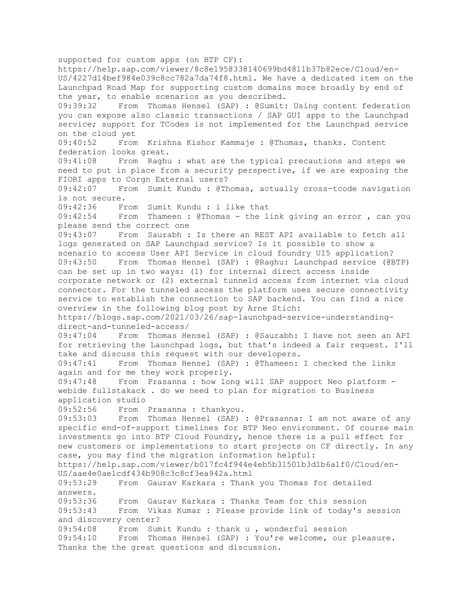supported for custom apps (on BTP CF): https://help.sap.com/viewer/8c8e1958338140699bd4811b37b82ece/Cloud/en-US/4227d14bef984e039c8cc782a7da74f8.html. We have a dedicated item on the Launchpad Road Map for supporting custom domains more broadly by end of the year, to enable scenarios as you described. 09:39:32 From Thomas Hensel (SAP) : @Sumit: Using content federation you can expose also classic transactions / SAP GUI apps to the Launchpad service; support for TCodes is not implemented for the Launchpad service on the cloud yet 09:40:52 From Krishna Kishor Kammaje : @Thomas, thanks. Content federation looks great. 09:41:08 From Raghu : what are the typical precautions and steps we need to put in place from a security perspective, if we are exposing the FIORI apps to Corgn External users? 09:42:07 From Sumit Kundu : @Thomas, actually cross-tcode navigation is not secure. 09:42:36 From Sumit Kundu : i like that 09:42:54 From Thameen : @Thomas - the link giving an error , can you please send the correct one 09:43:07 From Saurabh : Is there an REST API available to fetch all logs generated on SAP Launchpad service? Is it possible to show a scenario to access User API Service in cloud foundry UI5 application? 09:43:50 From Thomas Hensel (SAP) : @Raghu: Launchpad service (@BTP) can be set up in two ways: (1) for internal direct access inside corporate network or (2) external tunneld access from internet via cloud connector. For the tunneled access the platform uses secure connectivity service to establish the connection to SAP backend. You can find a nice overview in the following blog post by Arne Stich: https://blogs.sap.com/2021/03/26/sap-launchpad-service-understandingdirect-and-tunneled-access/ 09:47:04 From Thomas Hensel (SAP) : @Saurabh: I have not seen an API for retrieving the Launchpad logs, but that's indeed a fair request. I'll take and discuss this request with our developers. 09:47:41 From Thomas Hensel (SAP) : @Thameen: I checked the links again and for me they work properly. 09:47:48 From Prasanna : how long will SAP support Neo platform webide fullstakack . do we need to plan for migration to Business application studio 09:52:56 From Prasanna : thankyou. 09:53:03 From Thomas Hensel (SAP) : @Prasanna: I am not aware of any specific end-of-support timelines for BTP Neo environment. Of course main investments go into BTP Cloud Foundry, hence there is a pull effect for new customers or implementations to start projects on CF directly. In any case, you may find the migration information helpful: https://help.sap.com/viewer/b017fc4f944e4eb5b31501b3d1b6a1f0/Cloud/en-US/aae4e0ae1cdf434b908c3c8cf3ea942a.html 09:53:29 From Gaurav Karkara : Thank you Thomas for detailed answers. 09:53:36 From Gaurav Karkara : Thanks Team for this session 09:53:43 From Vikas Kumar : Please provide link of today's session and discovery center? 09:54:08 From Sumit Kundu : thank u , wonderful session 09:54:10 From Thomas Hensel (SAP) : You're welcome, our pleasure. Thanks the the great questions and discussion.